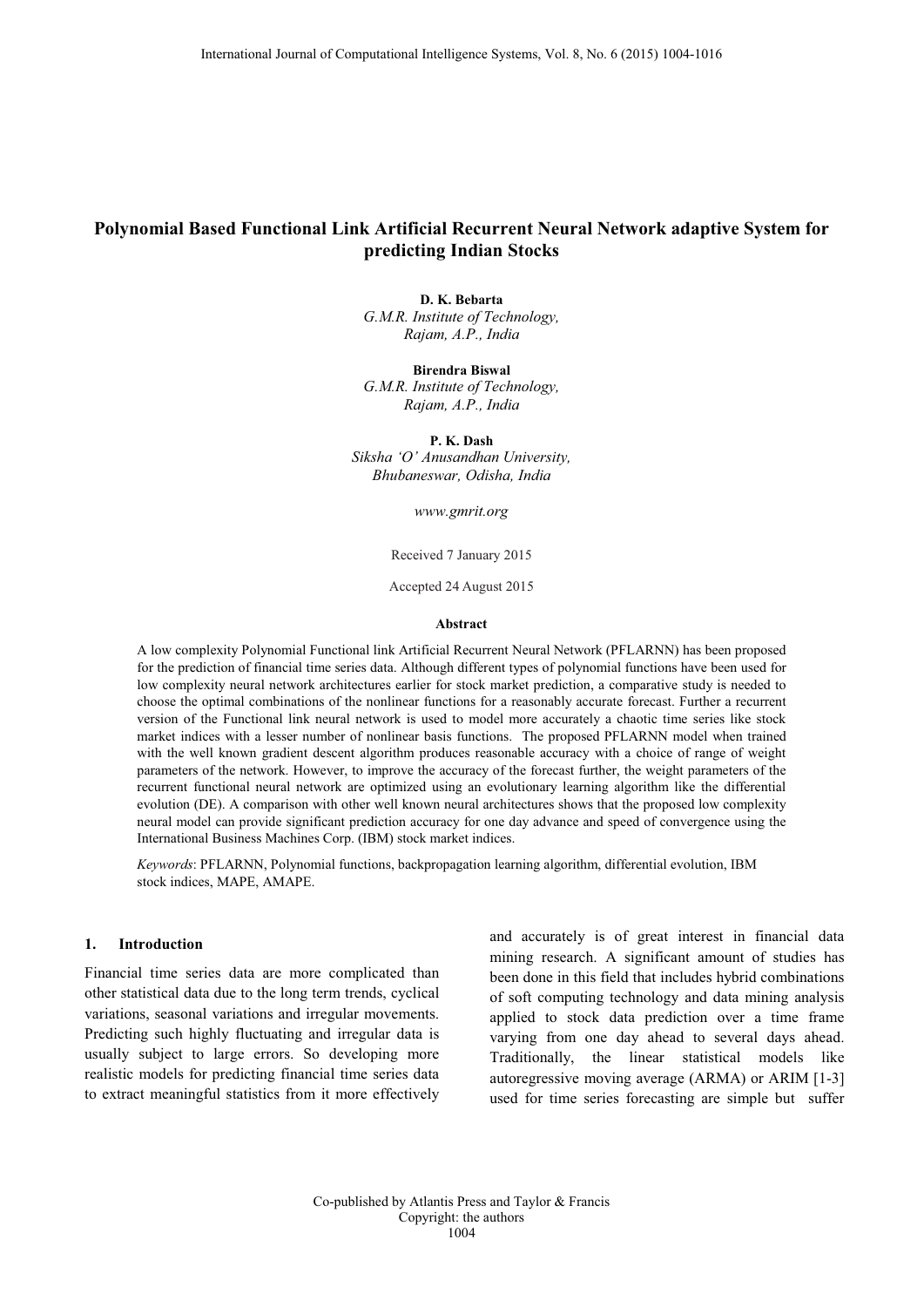# **Polynomial Based Functional Link Artificial Recurrent Neural Network adaptive System for predicting Indian Stocks**

**D. K. Bebarta** *G.M.R. Institute of Technology, Rajam, A.P., India*

**Birendra Biswal** *G.M.R. Institute of Technology, Rajam, A.P., India*

**P. K. Dash** *Siksha 'O' Anusandhan University, Bhubaneswar, Odisha, India*

*www.gmrit.org*

Received 7 January 2015

Accepted 24 August 2015

#### **Abstract**

A low complexity Polynomial Functional link Artificial Recurrent Neural Network (PFLARNN) has been proposed for the prediction of financial time series data. Although different types of polynomial functions have been used for low complexity neural network architectures earlier for stock market prediction, a comparative study is needed to choose the optimal combinations of the nonlinear functions for a reasonably accurate forecast. Further a recurrent version of the Functional link neural network is used to model more accurately a chaotic time series like stock market indices with a lesser number of nonlinear basis functions. The proposed PFLARNN model when trained with the well known gradient descent algorithm produces reasonable accuracy with a choice of range of weight parameters of the network. However, to improve the accuracy of the forecast further, the weight parameters of the recurrent functional neural network are optimized using an evolutionary learning algorithm like the differential evolution (DE). A comparison with other well known neural architectures shows that the proposed low complexity neural model can provide significant prediction accuracy for one day advance and speed of convergence using the International Business Machines Corp. (IBM) stock market indices.

*Keywords*: PFLARNN, Polynomial functions, backpropagation learning algorithm, differential evolution, IBM stock indices, MAPE, AMAPE.

#### **1. Introduction**

Financial time series data are more complicated than other statistical data due to the long term trends, cyclical variations, seasonal variations and irregular movements. Predicting such highly fluctuating and irregular data is usually subject to large errors. So developing more realistic models for predicting financial time series data to extract meaningful statistics from it more effectively

and accurately is of great interest in financial data mining research. A significant amount of studies has been done in this field that includes hybrid combinations of soft computing technology and data mining analysis applied to stock data prediction over a time frame varying from one day ahead to several days ahead. Traditionally, the linear statistical models like autoregressive moving average (ARMA) or ARIM [1-3] used for time series forecasting are simple but suffer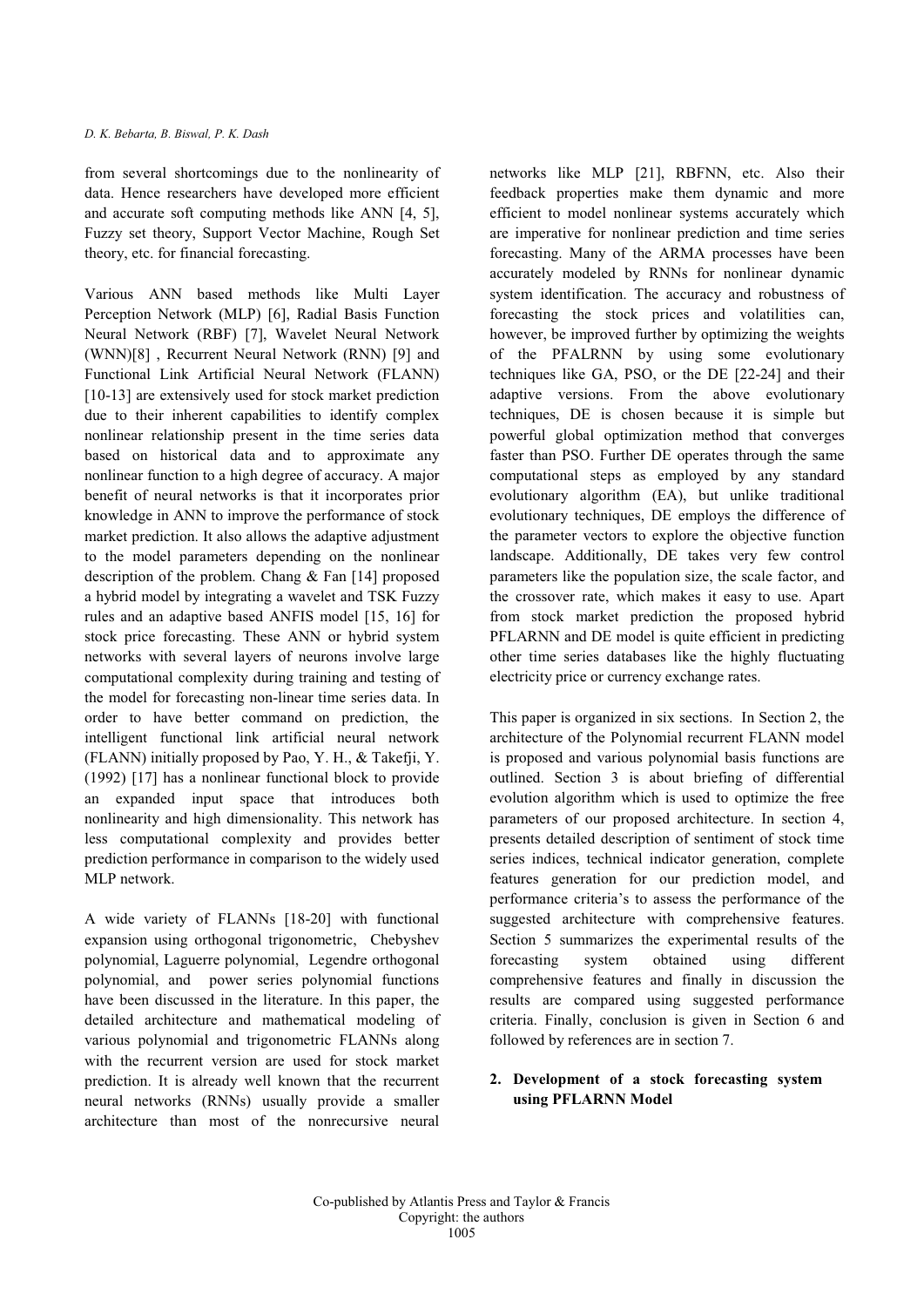from several shortcomings due to the nonlinearity of data. Hence researchers have developed more efficient and accurate soft computing methods like ANN [4, 5], Fuzzy set theory, Support Vector Machine, Rough Set theory, etc. for financial forecasting.

Various ANN based methods like Multi Layer Perception Network (MLP) [6], Radial Basis Function Neural Network (RBF) [7], Wavelet Neural Network (WNN)[8] , Recurrent Neural Network (RNN) [9] and Functional Link Artificial Neural Network (FLANN) [10-13] are extensively used for stock market prediction due to their inherent capabilities to identify complex nonlinear relationship present in the time series data based on historical data and to approximate any nonlinear function to a high degree of accuracy. A major benefit of neural networks is that it incorporates prior knowledge in ANN to improve the performance of stock market prediction. It also allows the adaptive adjustment to the model parameters depending on the nonlinear description of the problem. Chang & Fan [14] proposed a hybrid model by integrating a wavelet and TSK Fuzzy rules and an adaptive based ANFIS model [15, 16] for stock price forecasting. These ANN or hybrid system networks with several layers of neurons involve large computational complexity during training and testing of the model for forecasting non-linear time series data. In order to have better command on prediction, the intelligent functional link artificial neural network (FLANN) initially proposed by Pao, Y. H., & Takefji, Y. (1992) [17] has a nonlinear functional block to provide an expanded input space that introduces both nonlinearity and high dimensionality. This network has less computational complexity and provides better prediction performance in comparison to the widely used MLP network.

A wide variety of FLANNs [18-20] with functional expansion using orthogonal trigonometric, Chebyshev polynomial, Laguerre polynomial, Legendre orthogonal polynomial, and power series polynomial functions have been discussed in the literature. In this paper, the detailed architecture and mathematical modeling of various polynomial and trigonometric FLANNs along with the recurrent version are used for stock market prediction. It is already well known that the recurrent neural networks (RNNs) usually provide a smaller architecture than most of the nonrecursive neural networks like MLP [21], RBFNN, etc. Also their feedback properties make them dynamic and more efficient to model nonlinear systems accurately which are imperative for nonlinear prediction and time series forecasting. Many of the ARMA processes have been accurately modeled by RNNs for nonlinear dynamic system identification. The accuracy and robustness of forecasting the stock prices and volatilities can, however, be improved further by optimizing the weights of the PFALRNN by using some evolutionary techniques like GA, PSO, or the DE [22-24] and their adaptive versions. From the above evolutionary techniques, DE is chosen because it is simple but powerful global optimization method that converges faster than PSO. Further DE operates through the same computational steps as employed by any standard evolutionary algorithm (EA), but unlike traditional evolutionary techniques, DE employs the difference of the parameter vectors to explore the objective function landscape. Additionally, DE takes very few control parameters like the population size, the scale factor, and the crossover rate, which makes it easy to use. Apart from stock market prediction the proposed hybrid PFLARNN and DE model is quite efficient in predicting other time series databases like the highly fluctuating electricity price or currency exchange rates.

This paper is organized in six sections. In Section 2, the architecture of the Polynomial recurrent FLANN model is proposed and various polynomial basis functions are outlined. Section 3 is about briefing of differential evolution algorithm which is used to optimize the free parameters of our proposed architecture. In section 4, presents detailed description of sentiment of stock time series indices, technical indicator generation, complete features generation for our prediction model, and performance criteria's to assess the performance of the suggested architecture with comprehensive features. Section 5 summarizes the experimental results of the forecasting system obtained using different comprehensive features and finally in discussion the results are compared using suggested performance criteria. Finally, conclusion is given in Section 6 and followed by references are in section 7.

# **2. Development of a stock forecasting system using PFLARNN Model**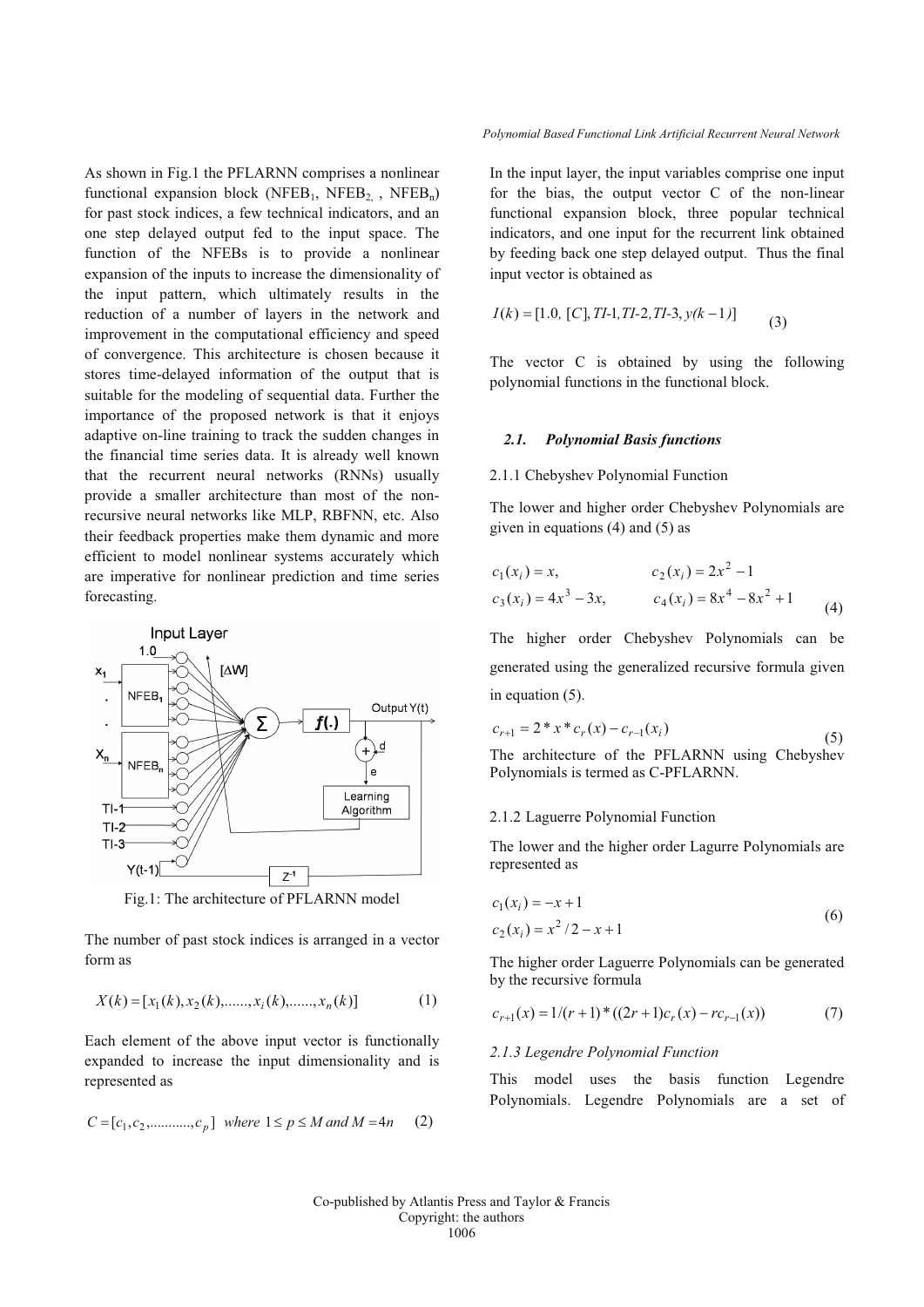As shown in Fig.1 the PFLARNN comprises a nonlinear functional expansion block (NFEB<sub>1</sub>, NFEB<sub>2,</sub> , NFEB<sub>n</sub>) for past stock indices, a few technical indicators, and an one step delayed output fed to the input space. The function of the NFEBs is to provide a nonlinear expansion of the inputs to increase the dimensionality of the input pattern, which ultimately results in the reduction of a number of layers in the network and improvement in the computational efficiency and speed of convergence. This architecture is chosen because it stores time-delayed information of the output that is suitable for the modeling of sequential data. Further the importance of the proposed network is that it enjoys adaptive on-line training to track the sudden changes in the financial time series data. It is already well known that the recurrent neural networks (RNNs) usually provide a smaller architecture than most of the nonrecursive neural networks like MLP, RBFNN, etc. Also their feedback properties make them dynamic and more efficient to model nonlinear systems accurately which are imperative for nonlinear prediction and time series forecasting.



Fig.1: The architecture of PFLARNN model

The number of past stock indices is arranged in a vector form as

$$
X(k) = [x_1(k), x_2(k), \dots, x_i(k), \dots, x_n(k)]
$$
 (1)

Each element of the above input vector is functionally expanded to increase the input dimensionality and is represented as

$$
C = [c_1, c_2, \dots, c_p]
$$
 where  $1 \le p \le M$  and  $M = 4n$  (2)

*Polynomial Based Functional Link Artificial Recurrent Neural Network*

In the input layer, the input variables comprise one input for the bias, the output vector C of the non-linear functional expansion block, three popular technical indicators, and one input for the recurrent link obtained by feeding back one step delayed output. Thus the final input vector is obtained as

$$
I(k) = [1.0, [C], TI-1, TI-2, TI-3, y(k-1)]
$$
 (3)

The vector C is obtained by using the following polynomial functions in the functional block.

#### *2.1. Polynomial Basis functions*

### 2.1.1 Chebyshev Polynomial Function

The lower and higher order Chebyshev Polynomials are given in equations (4) and (5) as

$$
c_1(x_i) = x, \t c_2(x_i) = 2x^2 - 1
$$
  
\n
$$
c_3(x_i) = 4x^3 - 3x, \t c_4(x_i) = 8x^4 - 8x^2 + 1
$$
 (4)

The higher order Chebyshev Polynomials can be generated using the generalized recursive formula given in equation (5).

$$
c_{r+1} = 2 * x * c_r(x) - c_{r-1}(x_i)
$$
\nThesmittactive of the PEL ADNN using Chebrykov.

\n(5)

The architecture of the PFLARNN using Chebyshev Polynomials is termed as C-PFLARNN.

#### 2.1.2 Laguerre Polynomial Function

The lower and the higher order Lagurre Polynomials are represented as

$$
c_1(x_i) = -x + 1
$$
  
\n
$$
c_2(x_i) = x^2/2 - x + 1
$$
\n(6)

The higher order Laguerre Polynomials can be generated by the recursive formula

$$
c_{r+1}(x) = 1/(r+1) * ((2r+1)c_r(x) - rc_{r-1}(x))
$$
\n(7)

#### *2.1.3 Legendre Polynomial Function*

This model uses the basis function Legendre Polynomials. Legendre Polynomials are a set of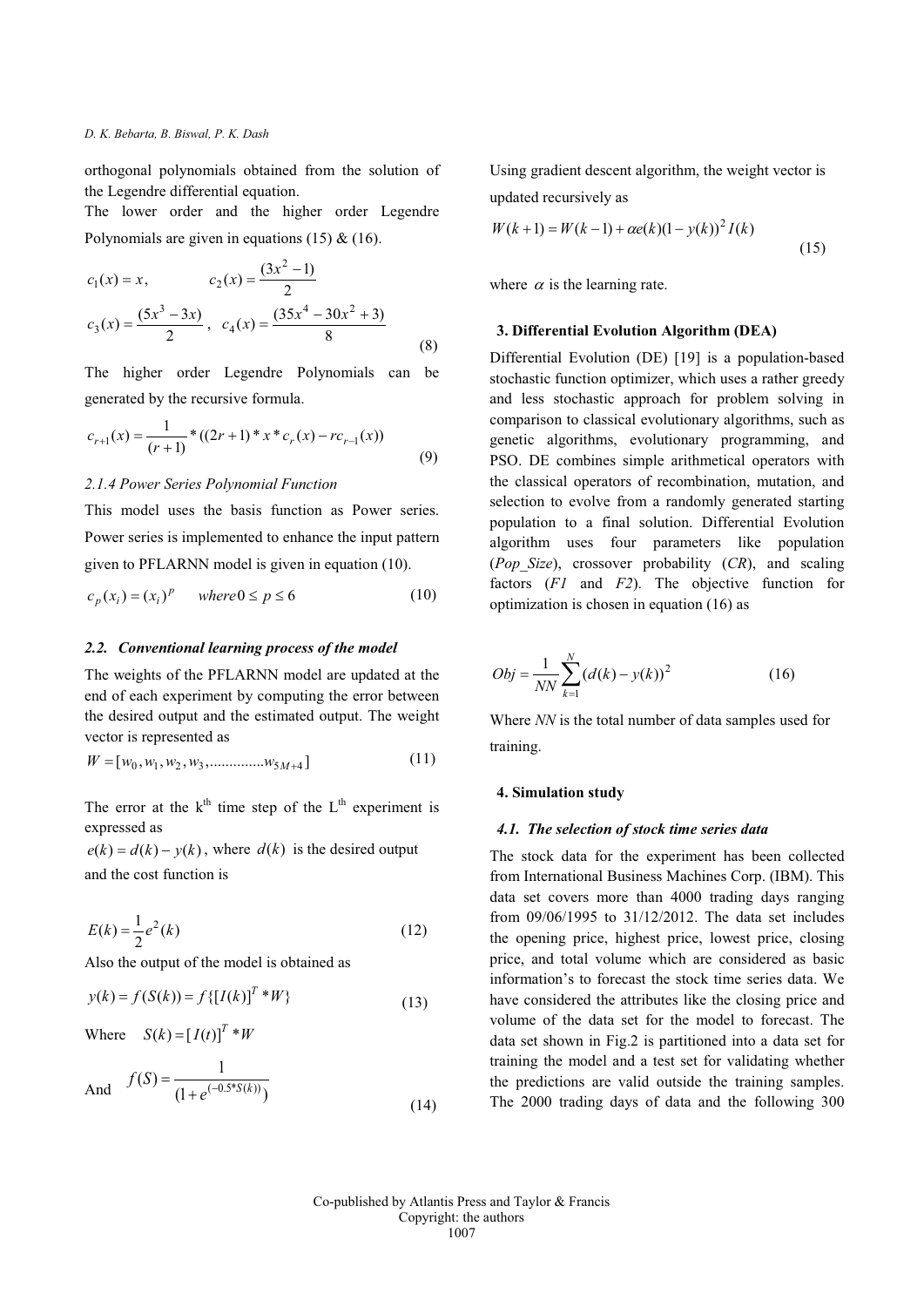orthogonal polynomials obtained from the solution of the Legendre differential equation.

The lower order and the higher order Legendre Polynomials are given in equations  $(15)$  &  $(16)$ .

$$
c_1(x) = x, \t c_2(x) = \frac{(3x^2 - 1)}{2}
$$
  

$$
c_3(x) = \frac{(5x^3 - 3x)}{2}, \t c_4(x) = \frac{(35x^4 - 30x^2 + 3)}{8}
$$
 (8)

The higher order Legendre Polynomials can be generated by the recursive formula.

$$
c_{r+1}(x) = \frac{1}{(r+1)} * ((2r+1) * x * c_r(x) - rc_{r-1}(x))
$$
\n(9)

## *2.1.4 Power Series Polynomial Function*

This model uses the basis function as Power series. Power series is implemented to enhance the input pattern given to PFLARNN model is given in equation (10).

$$
c_p(x_i) = (x_i)^p \quad \text{where } 0 \le p \le 6 \tag{10}
$$

#### *2.2. Conventional learning process of the model*

The weights of the PFLARNN model are updated at the end of each experiment by computing the error between the desired output and the estimated output. The weight vector is represented as

$$
W = [w_0, w_1, w_2, w_3, \dots, w_{5M+4}]
$$
\n(11)

The error at the  $k<sup>th</sup>$  time step of the L<sup>th</sup> experiment is expressed as

 $e(k) = d(k) - y(k)$ , where  $d(k)$  is the desired output and the cost function is

$$
E(k) = \frac{1}{2}e^2(k)
$$
 (12)

Also the output of the model is obtained as

$$
y(k) = f(S(k)) = f\{[I(k)]^T * W\}
$$
\n(13)

Where  $S(k) = [I(t)]^T * W$ 

And 
$$
f(S) = \frac{1}{(1 + e^{(-0.5 * S(k))})}
$$
 (14)

Using gradient descent algorithm, the weight vector is updated recursively as

$$
W(k+1) = W(k-1) + \alpha e(k)(1 - y(k))^2 I(k)
$$
\n(15)

where  $\alpha$  is the learning rate.

## **3. Differential Evolution Algorithm (DEA)**

Differential Evolution (DE) [19] is a population-based stochastic function optimizer, which uses a rather greedy and less stochastic approach for problem solving in comparison to classical evolutionary algorithms, such as genetic algorithms, evolutionary programming, and PSO. DE combines simple arithmetical operators with the classical operators of recombination, mutation, and selection to evolve from a randomly generated starting population to a final solution. Differential Evolution algorithm uses four parameters like population (*Pop\_Size*), crossover probability (*CR*), and scaling factors (*F1* and *F2*). The objective function for optimization is chosen in equation (16) as

$$
Obj = \frac{1}{NN} \sum_{k=1}^{N} (d(k) - y(k))^2
$$
 (16)

Where *NN* is the total number of data samples used for training.

#### **4. Simulation study**

### *4.1. The selection of stock time series data*

The stock data for the experiment has been collected from International Business Machines Corp. (IBM). This data set covers more than 4000 trading days ranging from 09/06/1995 to 31/12/2012. The data set includes the opening price, highest price, lowest price, closing price, and total volume which are considered as basic information's to forecast the stock time series data. We have considered the attributes like the closing price and volume of the data set for the model to forecast. The data set shown in Fig.2 is partitioned into a data set for training the model and a test set for validating whether the predictions are valid outside the training samples. The 2000 trading days of data and the following 300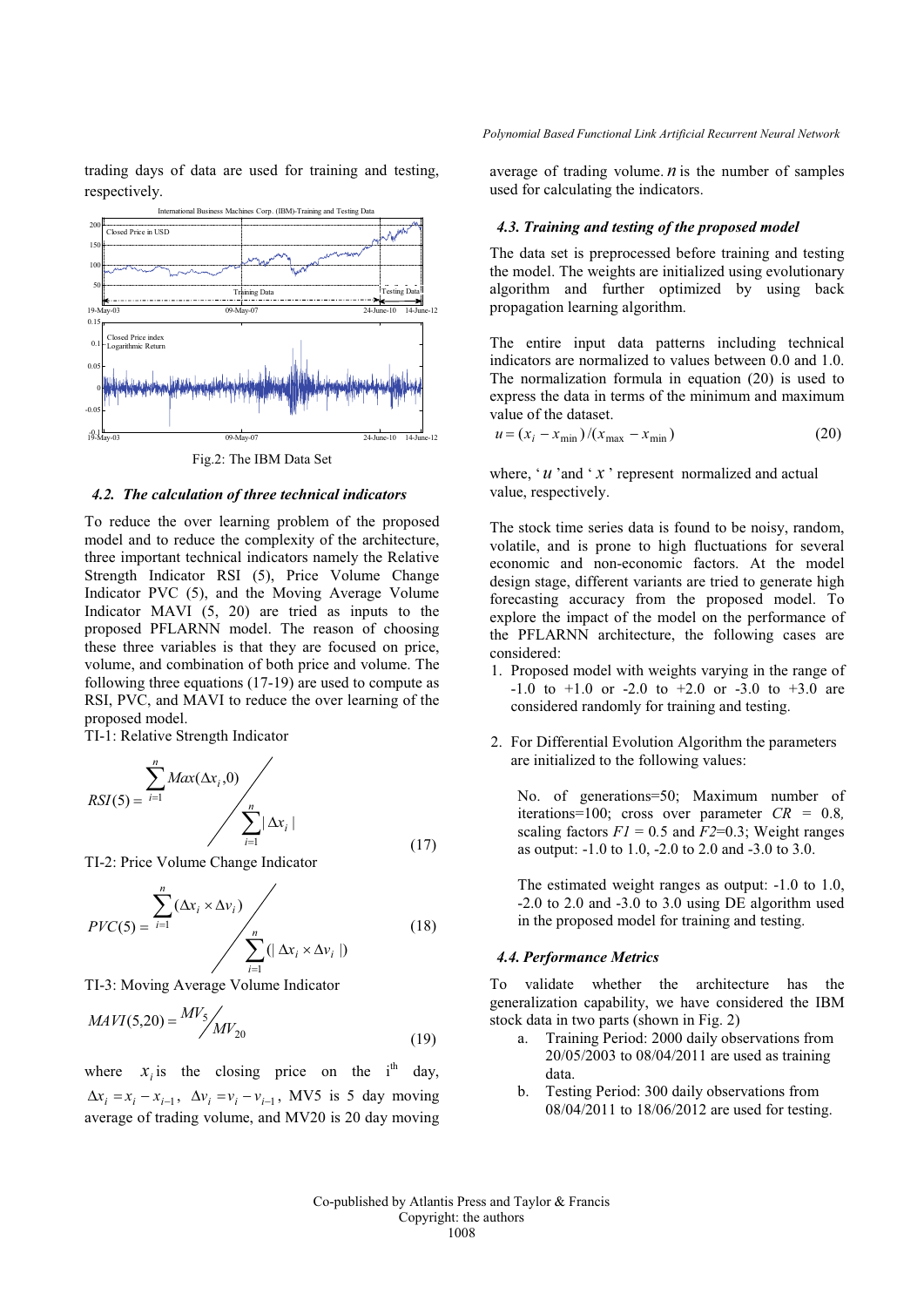trading days of data are used for training and testing, respectively.



Fig.2: The IBM Data Set

#### *4.2. The calculation of three technical indicators*

To reduce the over learning problem of the proposed model and to reduce the complexity of the architecture, three important technical indicators namely the Relative Strength Indicator RSI (5), Price Volume Change Indicator PVC (5), and the Moving Average Volume Indicator MAVI (5, 20) are tried as inputs to the proposed PFLARNN model. The reason of choosing these three variables is that they are focused on price, volume, and combination of both price and volume. The following three equations (17-19) are used to compute as RSI, PVC, and MAVI to reduce the over learning of the proposed model.

TI-1: Relative Strength Indicator

$$
RSI(5) = \sum_{i=1}^{n} Max(\Delta x_i, 0)
$$
\n
$$
\sum_{i=1}^{n} |\Delta x_i|
$$
\n(17)

TI-2: Price Volume Change Indicator

$$
PVC(5) = \sum_{i=1}^{n} (\Delta x_i \times \Delta v_i) \sqrt{\sum_{i=1}^{n} (|\Delta x_i \times \Delta v_i|)}
$$
(18)

TI-3: Moving Average Volume Indicator

$$
MAVI(5,20) = \frac{MV_5}{MV_{20}}
$$
\n(19)

where  $x_i$  is the closing price on the i<sup>th</sup> day,  $\Delta x_i = x_i - x_{i-1}$ ,  $\Delta v_i = v_i - v_{i-1}$ , MV5 is 5 day moving average of trading volume, and MV20 is 20 day moving average of trading volume.  $n$  is the number of samples used for calculating the indicators.

#### *4.3. Training and testing of the proposed model*

The data set is preprocessed before training and testing the model. The weights are initialized using evolutionary algorithm and further optimized by using back propagation learning algorithm.

The entire input data patterns including technical indicators are normalized to values between 0.0 and 1.0. The normalization formula in equation (20) is used to express the data in terms of the minimum and maximum value of the dataset.

$$
u = (x_i - x_{\min})/(x_{\max} - x_{\min})
$$
 (20)

where, '*u* 'and '*x* ' represent normalized and actual value, respectively.

The stock time series data is found to be noisy, random, volatile, and is prone to high fluctuations for several economic and non-economic factors. At the model design stage, different variants are tried to generate high forecasting accuracy from the proposed model. To explore the impact of the model on the performance of the PFLARNN architecture, the following cases are considered:

- 1. Proposed model with weights varying in the range of  $-1.0$  to  $+1.0$  or  $-2.0$  to  $+2.0$  or  $-3.0$  to  $+3.0$  are considered randomly for training and testing.
- 2. For Differential Evolution Algorithm the parameters are initialized to the following values:

No. of generations=50; Maximum number of iterations=100; cross over parameter *CR =* 0.8*,* scaling factors  $F1 = 0.5$  and  $F2=0.3$ ; Weight ranges as output: -1.0 to 1.0, -2.0 to 2.0 and -3.0 to 3.0.

The estimated weight ranges as output: -1.0 to 1.0, -2.0 to 2.0 and -3.0 to 3.0 using DE algorithm used in the proposed model for training and testing.

### *4.4. Performance Metrics*

To validate whether the architecture has the generalization capability, we have considered the IBM stock data in two parts (shown in Fig. 2)

- a. Training Period: 2000 daily observations from 20/05/2003 to 08/04/2011 are used as training data.
- b. Testing Period: 300 daily observations from 08/04/2011 to 18/06/2012 are used for testing.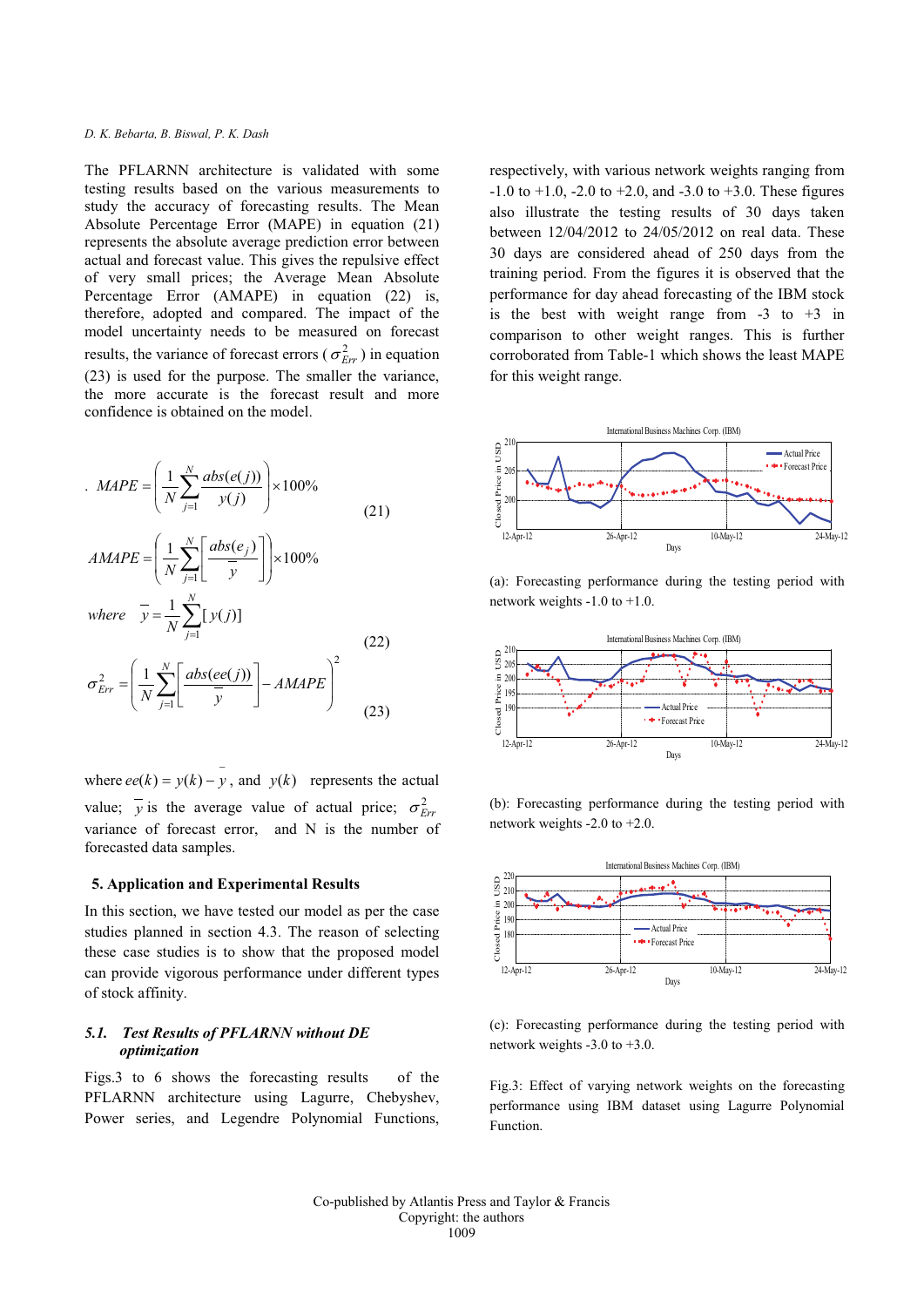The PFLARNN architecture is validated with some testing results based on the various measurements to study the accuracy of forecasting results. The Mean Absolute Percentage Error (MAPE) in equation (21) represents the absolute average prediction error between actual and forecast value. This gives the repulsive effect of very small prices; the Average Mean Absolute Percentage Error (AMAPE) in equation (22) is, therefore, adopted and compared. The impact of the model uncertainty needs to be measured on forecast results, the variance of forecast errors ( $\sigma_{Err}^2$ ) in equation (23) is used for the purpose. The smaller the variance, the more accurate is the forecast result and more confidence is obtained on the model.

$$
MAPE = \left(\frac{1}{N} \sum_{j=1}^{N} \frac{abs(e(j))}{y(j)}\right) \times 100\%
$$
\n
$$
AMAPE = \left(\frac{1}{N} \sum_{j=1}^{N} \left[\frac{abs(e_j)}{\overline{y}}\right]\right) \times 100\%
$$
\n
$$
where \quad \overline{y} = \frac{1}{N} \sum_{j=1}^{N} [y(j)]
$$
\n
$$
\sigma_{Err}^2 = \left(\frac{1}{N} \sum_{j=1}^{N} \left[\frac{abs(e(e(j))}{\overline{y}}\right] - AMAPE\right)^2
$$
\n(22)\n(23)

where  $ee(k) = y(k) - y$ , and  $y(k)$  represents the actual value;  $\overline{y}$  is the average value of actual price;  $\sigma_{Frr}^2$ variance of forecast error, and N is the number of forecasted data samples.

### **5. Application and Experimental Results**

In this section, we have tested our model as per the case studies planned in section 4.3. The reason of selecting these case studies is to show that the proposed model can provide vigorous performance under different types of stock affinity.

## *5.1. Test Results of PFLARNN without DE optimization*

Figs.3 to 6 shows the forecasting results of the PFLARNN architecture using Lagurre, Chebyshev, Power series, and Legendre Polynomial Functions, respectively, with various network weights ranging from  $-1.0$  to  $+1.0$ ,  $-2.0$  to  $+2.0$ , and  $-3.0$  to  $+3.0$ . These figures also illustrate the testing results of 30 days taken between 12/04/2012 to 24/05/2012 on real data. These 30 days are considered ahead of 250 days from the training period. From the figures it is observed that the performance for day ahead forecasting of the IBM stock is the best with weight range from  $-3$  to  $+3$  in comparison to other weight ranges. This is further corroborated from Table-1 which shows the least MAPE for this weight range.



(a): Forecasting performance during the testing period with network weights -1.0 to +1.0.



(b): Forecasting performance during the testing period with network weights -2.0 to +2.0.



(c): Forecasting performance during the testing period with network weights -3.0 to +3.0.

Fig.3: Effect of varying network weights on the forecasting performance using IBM dataset using Lagurre Polynomial Function.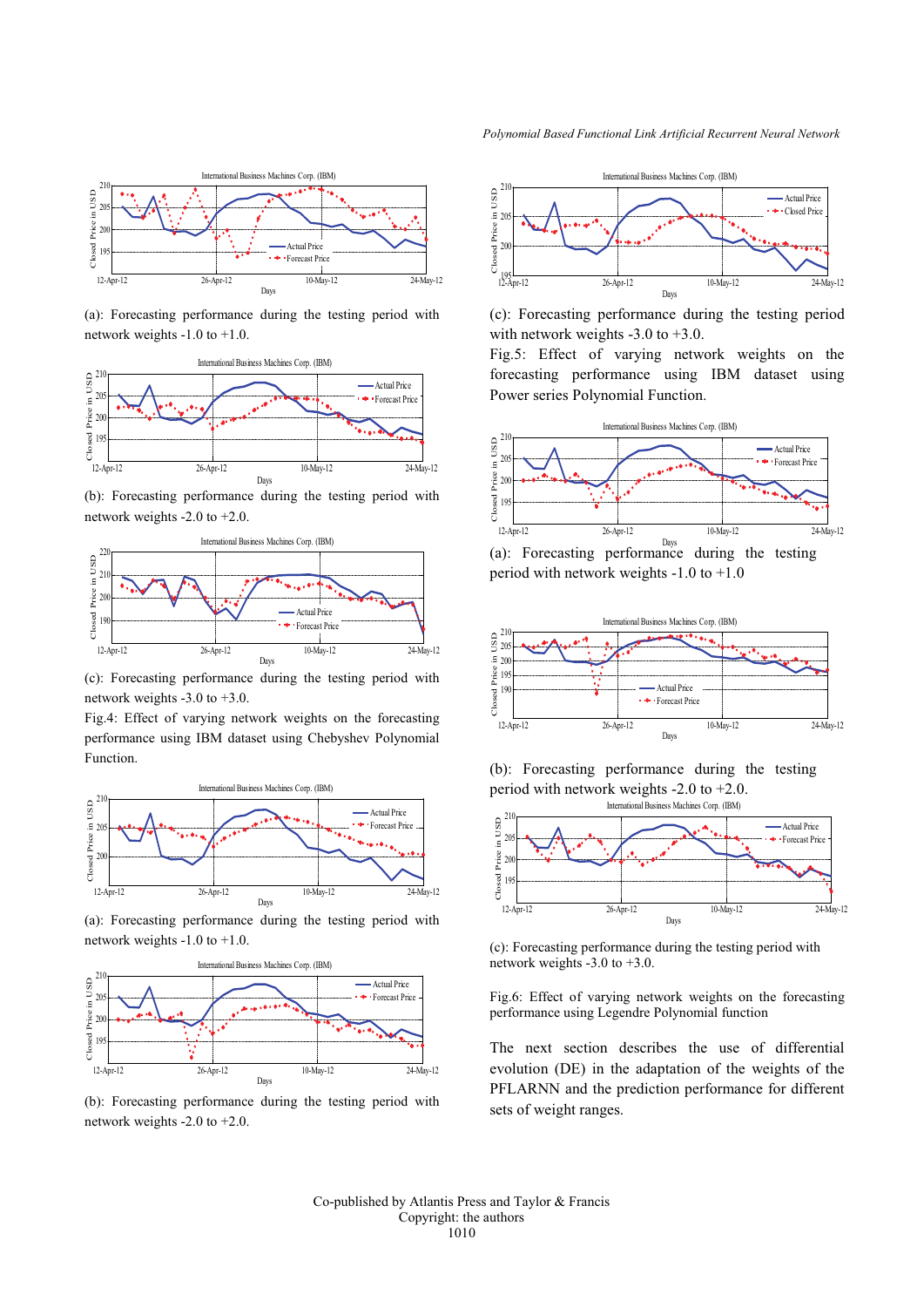

(a): Forecasting performance during the testing period with network weights -1.0 to +1.0.



(b): Forecasting performance during the testing period with network weights -2.0 to +2.0.



(c): Forecasting performance during the testing period with network weights -3.0 to +3.0.

Fig.4: Effect of varying network weights on the forecasting performance using IBM dataset using Chebyshev Polynomial Function.



(a): Forecasting performance during the testing period with network weights -1.0 to +1.0.



(b): Forecasting performance during the testing period with network weights -2.0 to +2.0.



(c): Forecasting performance during the testing period with network weights -3.0 to +3.0.

Fig.5: Effect of varying network weights on the forecasting performance using IBM dataset using Power series Polynomial Function.



(a): Forecasting performance during the testing period with network weights -1.0 to +1.0



International Business Machines Corp. (IBM) (b): Forecasting performance during the testing period with network weights -2.0 to +2.0.



(c): Forecasting performance during the testing period with network weights  $-3.0$  to  $+3.0$ .

Fig.6: Effect of varying network weights on the forecasting performance using Legendre Polynomial function

The next section describes the use of differential evolution (DE) in the adaptation of the weights of the PFLARNN and the prediction performance for different sets of weight ranges.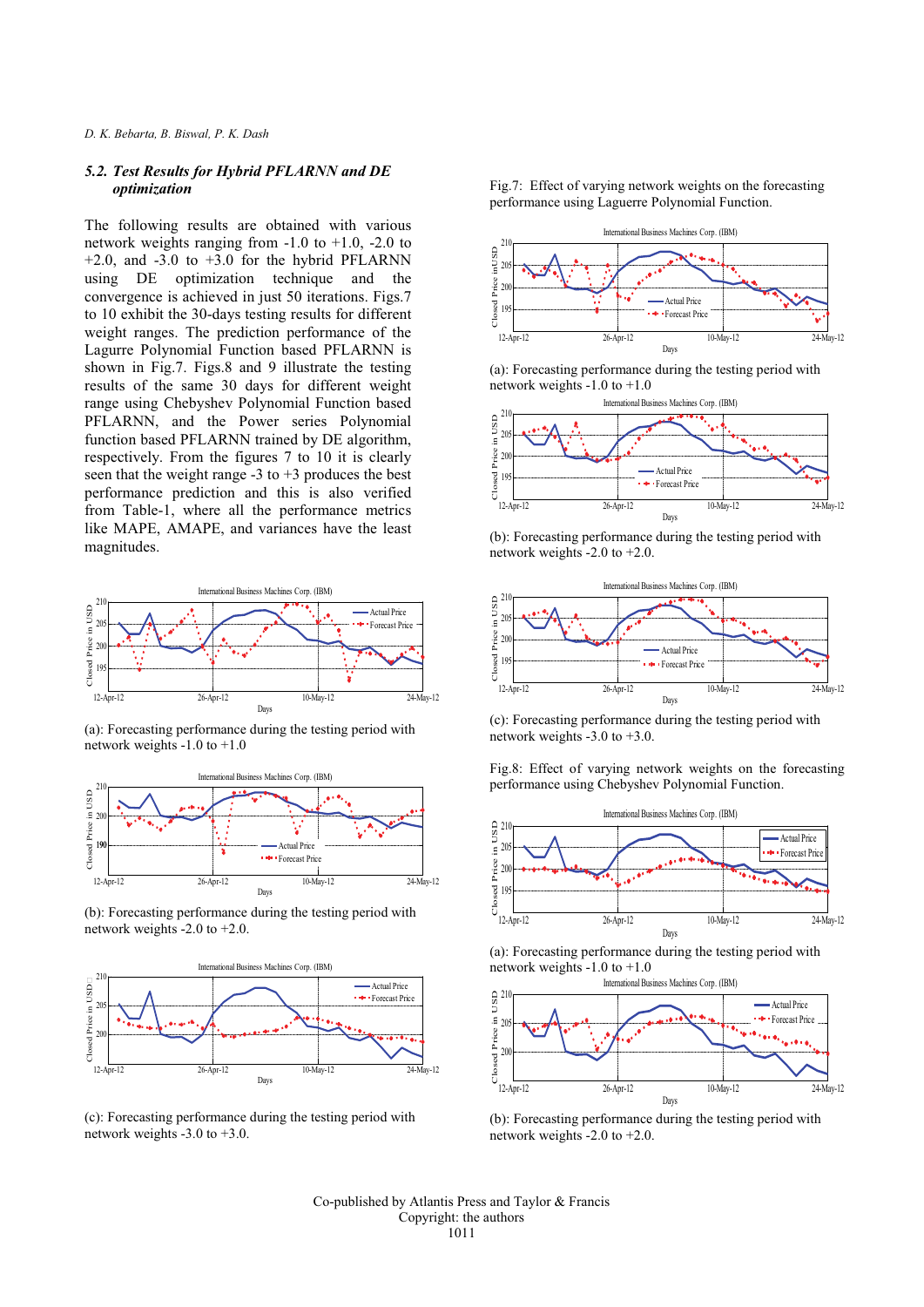## *5.2. Test Results for Hybrid PFLARNN and DE optimization*

The following results are obtained with various network weights ranging from  $-1.0$  to  $+1.0$ ,  $-2.0$  to  $+2.0$ , and  $-3.0$  to  $+3.0$  for the hybrid PFLARNN using DE optimization technique and the convergence is achieved in just 50 iterations. Figs.7 to 10 exhibit the 30-days testing results for different weight ranges. The prediction performance of the Lagurre Polynomial Function based PFLARNN is shown in Fig.7. Figs.8 and 9 illustrate the testing results of the same 30 days for different weight range using Chebyshev Polynomial Function based PFLARNN, and the Power series Polynomial function based PFLARNN trained by DE algorithm, respectively. From the figures 7 to 10 it is clearly seen that the weight range  $-3$  to  $+3$  produces the best performance prediction and this is also verified from Table-1, where all the performance metrics like MAPE, AMAPE, and variances have the least magnitudes.



(a): Forecasting performance during the testing period with network weights -1.0 to +1.0



(b): Forecasting performance during the testing period with network weights -2.0 to +2.0.



(c): Forecasting performance during the testing period with network weights -3.0 to +3.0.

Fig.7: Effect of varying network weights on the forecasting performance using Laguerre Polynomial Function.



(a): Forecasting performance during the testing period with network weights -1.0 to +1.0



(b): Forecasting performance during the testing period with network weights -2.0 to +2.0.



(c): Forecasting performance during the testing period with network weights -3.0 to +3.0.

Fig.8: Effect of varying network weights on the forecasting performance using Chebyshev Polynomial Function.



(a): Forecasting performance during the testing period with network weights -1.0 to +1.0

International Business Machines Corp. (IBM)



(b): Forecasting performance during the testing period with network weights -2.0 to +2.0.

Co-published by Atlantis Press and Taylor & Francis Copyright: the authors 1011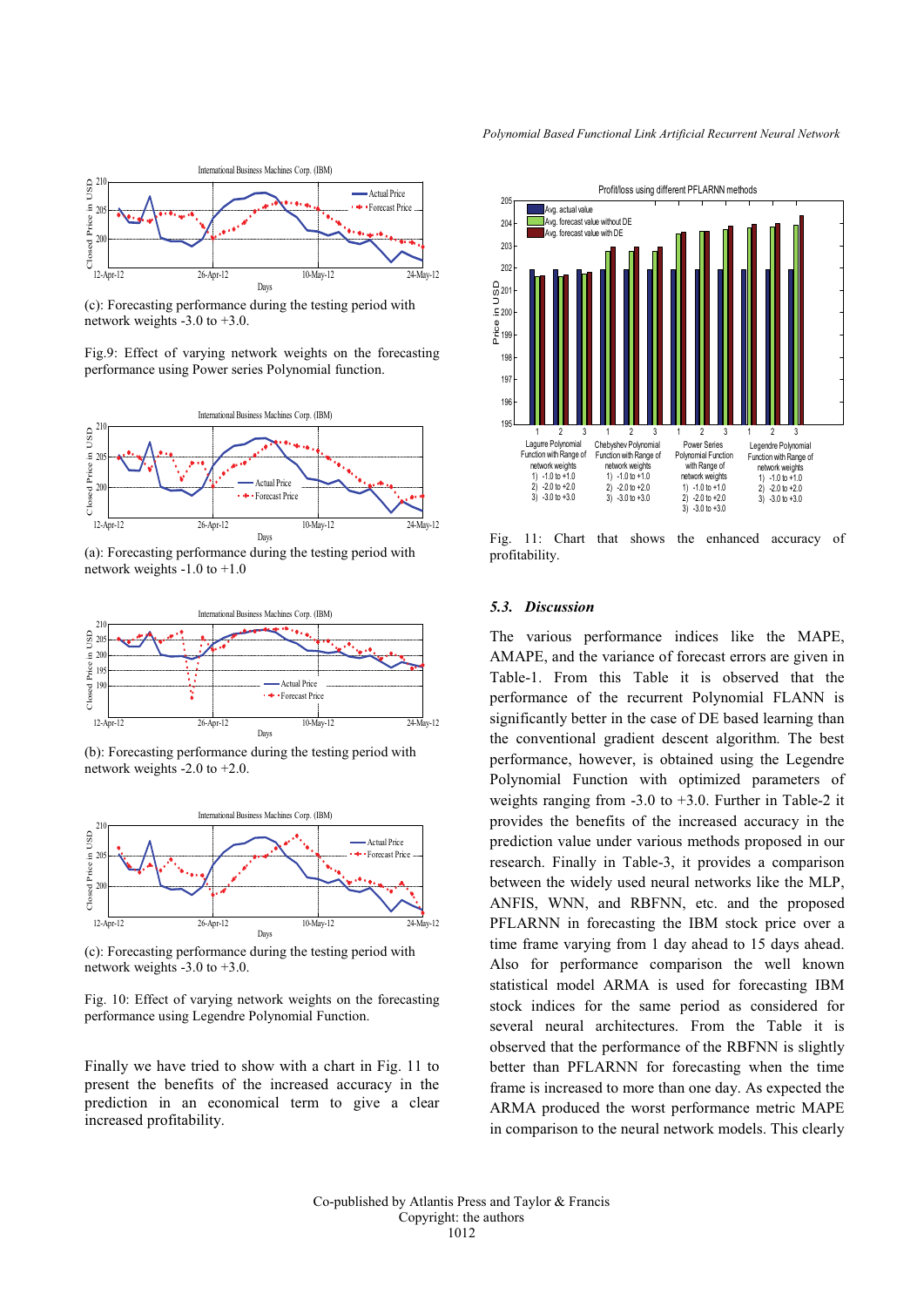

(c): Forecasting performance during the testing period with network weights -3.0 to +3.0.

Fig.9: Effect of varying network weights on the forecasting performance using Power series Polynomial function.



(a): Forecasting performance during the testing period with network weights -1.0 to +1.0



(b): Forecasting performance during the testing period with network weights -2.0 to +2.0.



(c): Forecasting performance during the testing period with network weights -3.0 to +3.0.

Fig. 10: Effect of varying network weights on the forecasting performance using Legendre Polynomial Function.

Finally we have tried to show with a chart in Fig. 11 to present the benefits of the increased accuracy in the prediction in an economical term to give a clear increased profitability.



Fig. 11: Chart that shows the enhanced accuracy of profitability.

### *5.3. Discussion*

The various performance indices like the MAPE, AMAPE, and the variance of forecast errors are given in Table-1. From this Table it is observed that the performance of the recurrent Polynomial FLANN is significantly better in the case of DE based learning than the conventional gradient descent algorithm. The best performance, however, is obtained using the Legendre Polynomial Function with optimized parameters of weights ranging from -3.0 to +3.0. Further in Table-2 it provides the benefits of the increased accuracy in the prediction value under various methods proposed in our research. Finally in Table-3, it provides a comparison between the widely used neural networks like the MLP, ANFIS, WNN, and RBFNN, etc. and the proposed PFLARNN in forecasting the IBM stock price over a time frame varying from 1 day ahead to 15 days ahead. Also for performance comparison the well known statistical model ARMA is used for forecasting IBM stock indices for the same period as considered for several neural architectures. From the Table it is observed that the performance of the RBFNN is slightly better than PFLARNN for forecasting when the time frame is increased to more than one day. As expected the ARMA produced the worst performance metric MAPE in comparison to the neural network models. This clearly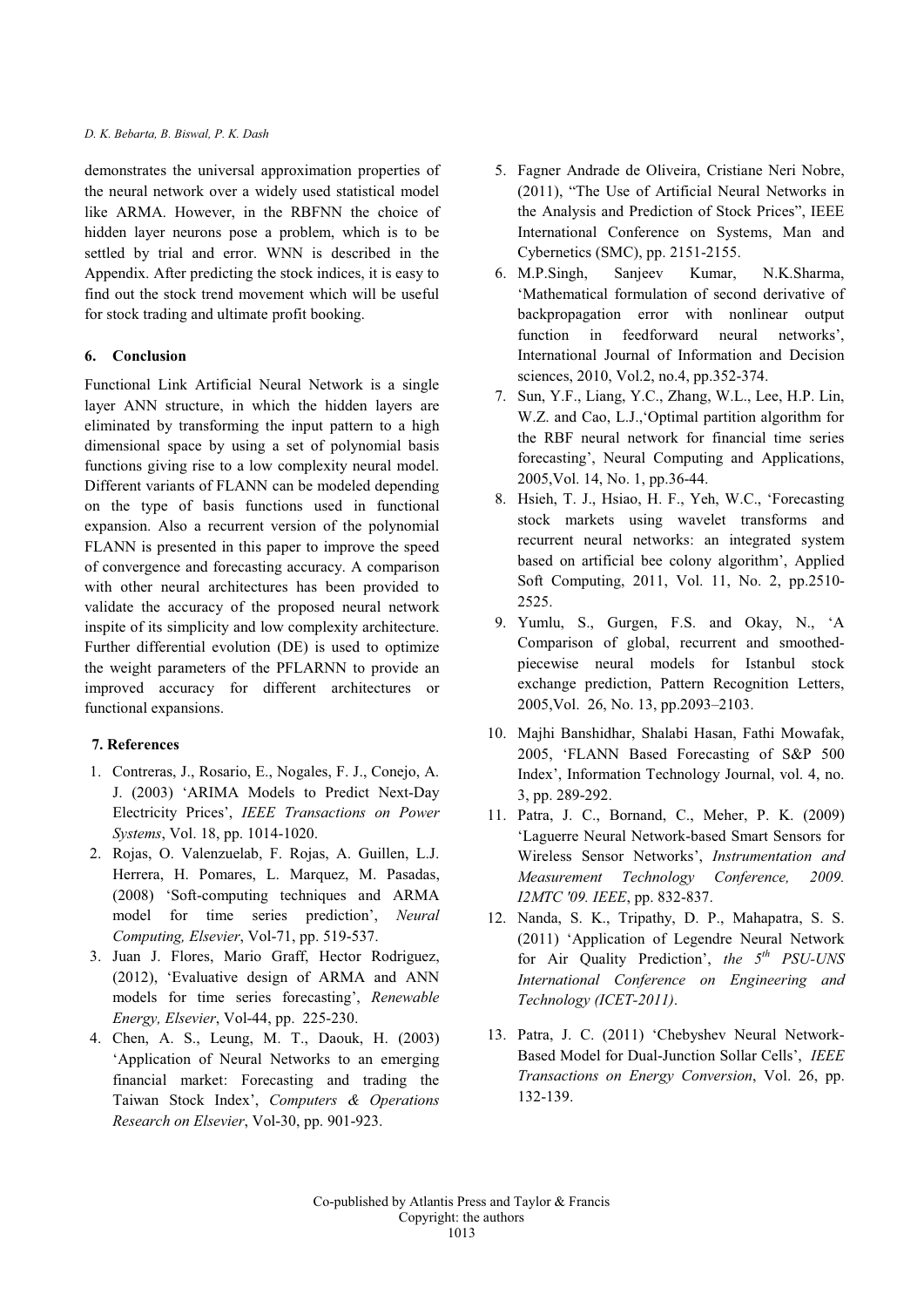demonstrates the universal approximation properties of the neural network over a widely used statistical model like ARMA. However, in the RBFNN the choice of hidden layer neurons pose a problem, which is to be settled by trial and error. WNN is described in the Appendix. After predicting the stock indices, it is easy to find out the stock trend movement which will be useful for stock trading and ultimate profit booking.

## **6. Conclusion**

Functional Link Artificial Neural Network is a single layer ANN structure, in which the hidden layers are eliminated by transforming the input pattern to a high dimensional space by using a set of polynomial basis functions giving rise to a low complexity neural model. Different variants of FLANN can be modeled depending on the type of basis functions used in functional expansion. Also a recurrent version of the polynomial FLANN is presented in this paper to improve the speed of convergence and forecasting accuracy. A comparison with other neural architectures has been provided to validate the accuracy of the proposed neural network inspite of its simplicity and low complexity architecture. Further differential evolution (DE) is used to optimize the weight parameters of the PFLARNN to provide an improved accuracy for different architectures or functional expansions.

# **7. References**

- 1. Contreras, J., Rosario, E., Nogales, F. J., Conejo, A. J. (2003) 'ARIMA Models to Predict Next-Day Electricity Prices', *IEEE Transactions on Power Systems*, Vol. 18, pp. 1014-1020.
- 2. Rojas, O. Valenzuelab, F. Rojas, A. Guillen, L.J. Herrera, H. Pomares, L. Marquez, M. Pasadas, (2008) 'Soft-computing techniques and ARMA model for time series prediction', *Neural Computing, Elsevier*, Vol-71, pp. 519-537.
- 3. Juan J. Flores, Mario Graff, Hector Rodriguez, (2012), 'Evaluative design of ARMA and ANN models for time series forecasting', *Renewable Energy, Elsevier*, Vol-44, pp. 225-230.
- 4. Chen, A. S., Leung, M. T., Daouk, H. (2003) 'Application of Neural Networks to an emerging financial market: Forecasting and trading the Taiwan Stock Index', *Computers & Operations Research on Elsevier*, Vol-30, pp. 901-923.
- 5. Fagner Andrade de Oliveira, Cristiane Neri Nobre, (2011), "The Use of Artificial Neural Networks in the Analysis and Prediction of Stock Prices", IEEE International Conference on Systems, Man and Cybernetics (SMC), pp. 2151-2155.
- 6. M.P.Singh, Sanjeev Kumar, N.K.Sharma, 'Mathematical formulation of second derivative of backpropagation error with nonlinear output function in feedforward neural networks', International Journal of Information and Decision sciences, 2010, Vol.2, no.4, pp.352-374.
- 7. Sun, Y.F., Liang, Y.C., Zhang, W.L., Lee, H.P. Lin, W.Z. and Cao, L.J.,'Optimal partition algorithm for the RBF neural network for financial time series forecasting', Neural Computing and Applications, 2005,Vol. 14, No. 1, pp.36-44.
- 8. Hsieh, T. J., Hsiao, H. F., Yeh, W.C., 'Forecasting stock markets using wavelet transforms and recurrent neural networks: an integrated system based on artificial bee colony algorithm', Applied Soft Computing, 2011, Vol. 11, No. 2, pp.2510- 2525.
- 9. Yumlu, S., Gurgen, F.S. and Okay, N., 'A Comparison of global, recurrent and smoothedpiecewise neural models for Istanbul stock exchange prediction, Pattern Recognition Letters, 2005,Vol. 26, No. 13, pp.2093–2103.
- 10. Majhi Banshidhar, Shalabi Hasan, Fathi Mowafak, 2005, 'FLANN Based Forecasting of S&P 500 Index', Information Technology Journal, vol. 4, no. 3, pp. 289-292.
- 11. Patra, J. C., Bornand, C., Meher, P. K. (2009) 'Laguerre Neural Network-based Smart Sensors for Wireless Sensor Networks', *Instrumentation and Measurement Technology Conference, 2009. I2MTC '09. IEEE*, pp. 832-837.
- 12. Nanda, S. K., Tripathy, D. P., Mahapatra, S. S. (2011) 'Application of Legendre Neural Network for Air Quality Prediction', *the 5th PSU-UNS International Conference on Engineering and Technology (ICET-2011)*.
- 13. Patra, J. C. (2011) 'Chebyshev Neural Network-Based Model for Dual-Junction Sollar Cells', *IEEE Transactions on Energy Conversion*, Vol. 26, pp. 132-139.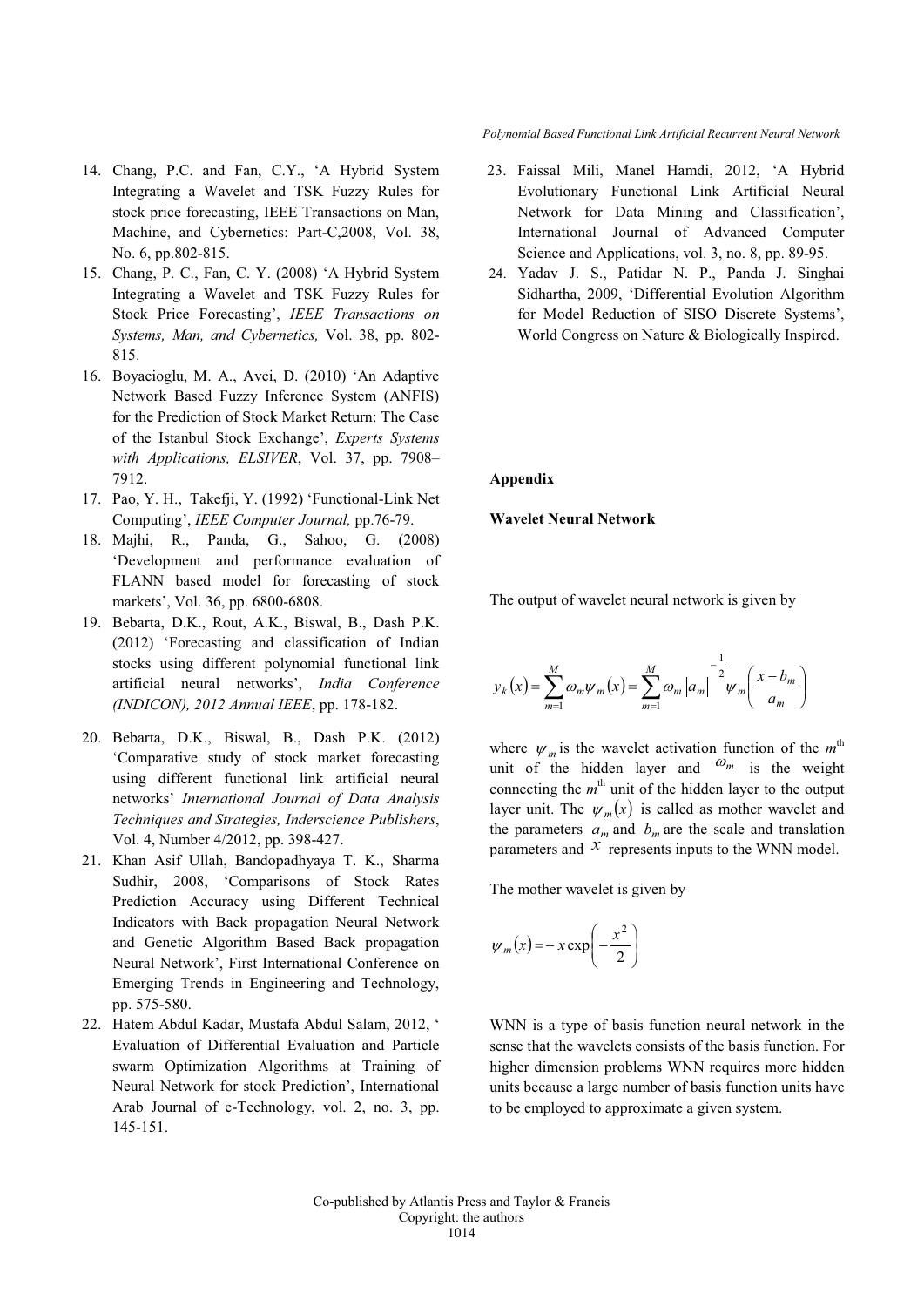- 14. Chang, P.C. and Fan, C.Y., 'A Hybrid System Integrating a Wavelet and TSK Fuzzy Rules for stock price forecasting, IEEE Transactions on Man, Machine, and Cybernetics: Part-C,2008, Vol. 38, No. 6, pp.802-815.
- 15. Chang, P. C., Fan, C. Y. (2008) 'A Hybrid System Integrating a Wavelet and TSK Fuzzy Rules for Stock Price Forecasting', *IEEE Transactions on Systems, Man, and Cybernetics,* Vol. 38, pp. 802- 815.
- 16. Boyacioglu, M. A., Avci, D. (2010) 'An Adaptive Network Based Fuzzy Inference System (ANFIS) for the Prediction of Stock Market Return: The Case of the Istanbul Stock Exchange', *Experts Systems with Applications, ELSIVER*, Vol. 37, pp. 7908– 7912.
- 17. Pao, Y. H., Takefji, Y. (1992) 'Functional-Link Net Computing', *IEEE Computer Journal,* pp.76-79.
- 18. Majhi, R., Panda, G., Sahoo, G. (2008) 'Development and performance evaluation of FLANN based model for forecasting of stock markets', Vol. 36, pp. 6800-6808.
- 19. Bebarta, D.K., Rout, A.K., Biswal, B., Dash P.K. (2012) 'Forecasting and classification of Indian stocks using different polynomial functional link artificial neural networks', *India Conference (INDICON), 2012 Annual IEEE*, pp. 178-182.
- 20. Bebarta, D.K., Biswal, B., Dash P.K. (2012) 'Comparative study of stock market forecasting using different functional link artificial neural networks' *International Journal of Data Analysis Techniques and Strategies, Inderscience Publishers*, Vol. 4, Number 4/2012, pp. 398-427.
- 21. Khan Asif Ullah, Bandopadhyaya T. K., Sharma Sudhir, 2008, 'Comparisons of Stock Rates Prediction Accuracy using Different Technical Indicators with Back propagation Neural Network and Genetic Algorithm Based Back propagation Neural Network', First International Conference on Emerging Trends in Engineering and Technology, pp. 575-580.
- 22. Hatem Abdul Kadar, Mustafa Abdul Salam, 2012, ' Evaluation of Differential Evaluation and Particle swarm Optimization Algorithms at Training of Neural Network for stock Prediction', International Arab Journal of e-Technology, vol. 2, no. 3, pp. 145-151.

*Polynomial Based Functional Link Artificial Recurrent Neural Network*

- 23. Faissal Mili, Manel Hamdi, 2012, 'A Hybrid Evolutionary Functional Link Artificial Neural Network for Data Mining and Classification', International Journal of Advanced Computer Science and Applications, vol. 3, no. 8, pp. 89-95.
- 24. Yadav J. S., Patidar N. P., Panda J. Singhai Sidhartha, 2009, 'Differential Evolution Algorithm for Model Reduction of SISO Discrete Systems', World Congress on Nature & Biologically Inspired.

#### **Appendix**

**Wavelet Neural Network**

The output of wavelet neural network is given by

$$
y_{k}(x) = \sum_{m=1}^{M} \omega_{m} \psi_{m}(x) = \sum_{m=1}^{M} \omega_{m} |a_{m}|^{-\frac{1}{2}} \psi_{m} \left( \frac{x - b_{m}}{a_{m}} \right)
$$

where  $\psi_m$  is the wavelet activation function of the  $m^{\text{th}}$ unit of the hidden layer and  $\omega_m$  is the weight connecting the  $m<sup>th</sup>$  unit of the hidden layer to the output layer unit. The  $\psi_m(x)$  is called as mother wavelet and the parameters  $a_m$  and  $b_m$  are the scale and translation parameters and  $\chi$  represents inputs to the WNN model.

The mother wavelet is given by

$$
\psi_m(x) = -x \exp\left(-\frac{x^2}{2}\right)
$$

WNN is a type of basis function neural network in the sense that the wavelets consists of the basis function. For higher dimension problems WNN requires more hidden units because a large number of basis function units have to be employed to approximate a given system.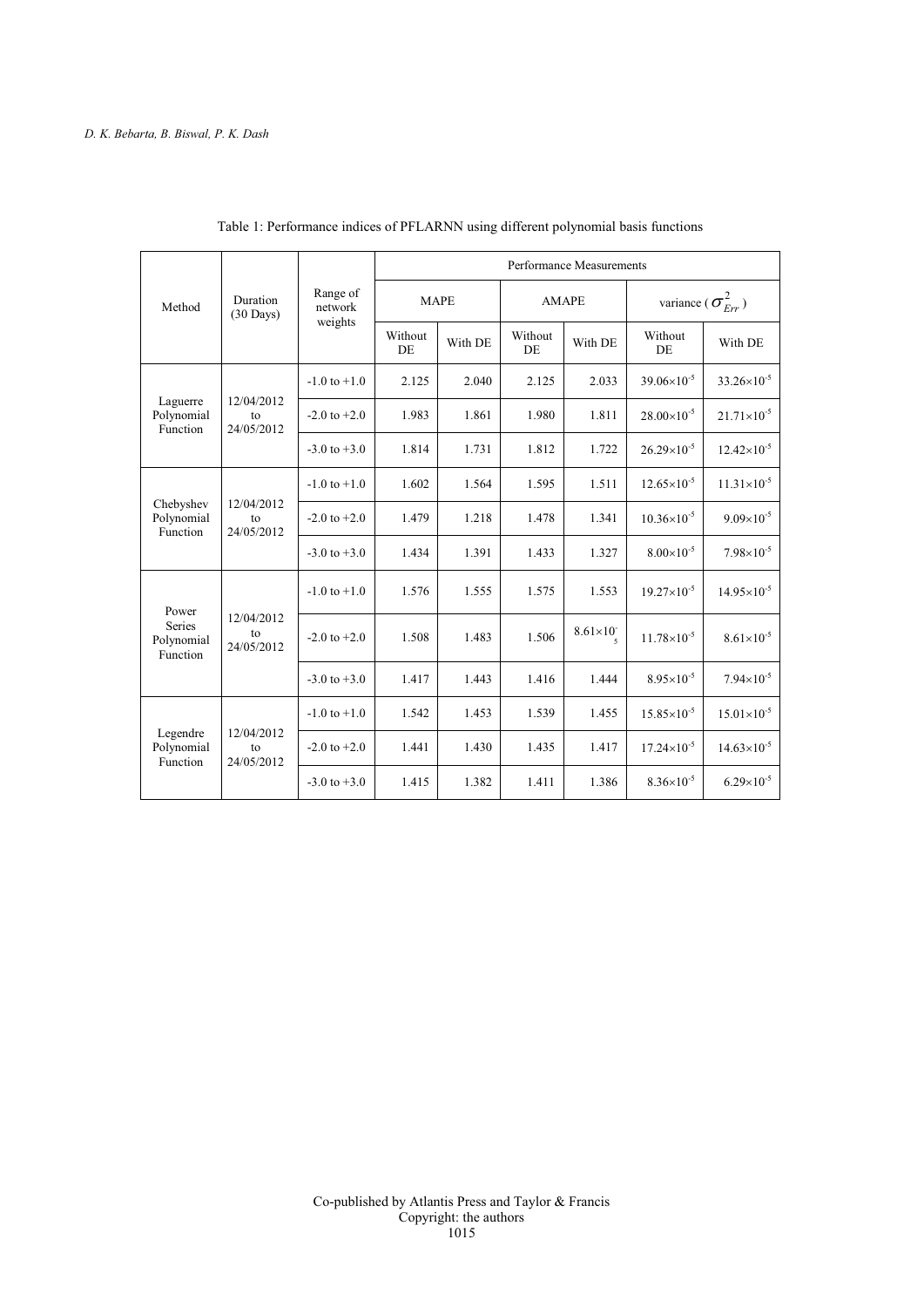| Method                                    | Duration<br>$(30 \text{ Days})$ | Range of<br>network<br>weights | Performance Measurements |         |               |                     |                                                  |                        |
|-------------------------------------------|---------------------------------|--------------------------------|--------------------------|---------|---------------|---------------------|--------------------------------------------------|------------------------|
|                                           |                                 |                                | <b>MAPE</b>              |         | <b>AMAPE</b>  |                     | variance ( $\sigma_{\scriptscriptstyle Err}^2$ ) |                        |
|                                           |                                 |                                | Without<br>DE            | With DE | Without<br>DE | With DE             | Without<br>DE                                    | With DE                |
| Laguerre<br>Polynomial<br>Function        | 12/04/2012<br>to<br>24/05/2012  | $-1.0$ to $+1.0$               | 2.125                    | 2.040   | 2.125         | 2.033               | $39.06\times10^{-5}$                             | $33.26 \times 10^{-5}$ |
|                                           |                                 | $-2.0$ to $+2.0$               | 1.983                    | 1.861   | 1.980         | 1.811               | $28.00\times10^{-5}$                             | $21.71\times10^{-5}$   |
|                                           |                                 | $-3.0$ to $+3.0$               | 1.814                    | 1.731   | 1.812         | 1.722               | $26.29\times10^{-5}$                             | $12.42\times10^{-5}$   |
| Chebyshev<br>Polynomial<br>Function       | 12/04/2012<br>to<br>24/05/2012  | $-1.0$ to $+1.0$               | 1.602                    | 1.564   | 1.595         | 1.511               | $12.65\times10^{-5}$                             | $11.31\times10^{-5}$   |
|                                           |                                 | $-2.0$ to $+2.0$               | 1.479                    | 1.218   | 1.478         | 1.341               | $10.36\times10^{-5}$                             | $9.09\times10^{-5}$    |
|                                           |                                 | $-3.0$ to $+3.0$               | 1.434                    | 1.391   | 1.433         | 1.327               | $8.00\times10^{-5}$                              | $7.98 \times 10^{-5}$  |
| Power<br>Series<br>Polynomial<br>Function | 12/04/2012<br>to<br>24/05/2012  | $-1.0$ to $+1.0$               | 1.576                    | 1.555   | 1.575         | 1.553               | $19.27\times10^{-5}$                             | $14.95\times10^{-5}$   |
|                                           |                                 | $-2.0$ to $+2.0$               | 1.508                    | 1.483   | 1.506         | $8.61\times10^{-7}$ | $11.78\times10^{-5}$                             | $8.61\times10^{-5}$    |
|                                           |                                 | $-3.0$ to $+3.0$               | 1.417                    | 1.443   | 1.416         | 1.444               | $8.95 \times 10^{-5}$                            | $7.94 \times 10^{-5}$  |
| Legendre<br>Polynomial<br>Function        | 12/04/2012<br>to<br>24/05/2012  | $-1.0$ to $+1.0$               | 1.542                    | 1.453   | 1.539         | 1.455               | $15.85\times10^{-5}$                             | $15.01\times10^{-5}$   |
|                                           |                                 | $-2.0$ to $+2.0$               | 1.441                    | 1.430   | 1.435         | 1.417               | $17.24\times10^{-5}$                             | $14.63\times10^{-5}$   |
|                                           |                                 | $-3.0$ to $+3.0$               | 1.415                    | 1.382   | 1.411         | 1.386               | $8.36 \times 10^{-5}$                            | $6.29\times10^{-5}$    |

Table 1: Performance indices of PFLARNN using different polynomial basis functions